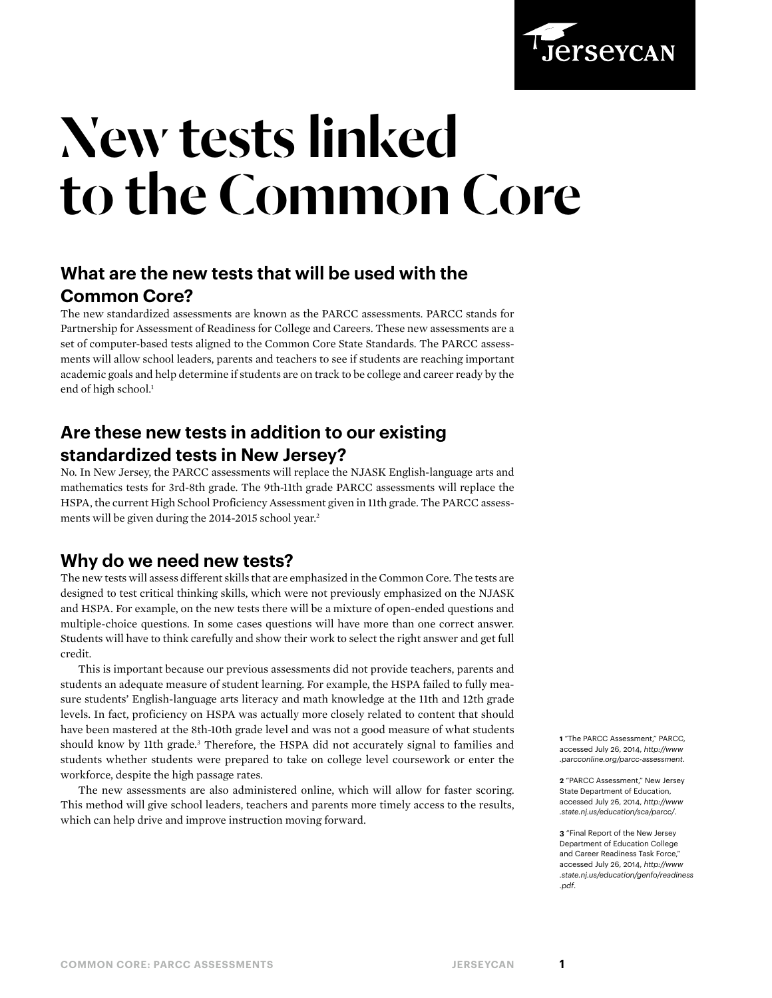

# New tests linked to the Common Core

# **What are the new tests that will be used with the Common Core?**

The new standardized assessments are known as the PARCC assessments. PARCC stands for Partnership for Assessment of Readiness for College and Careers. These new assessments are a set of computer-based tests aligned to the Common Core State Standards. The PARCC assessments will allow school leaders, parents and teachers to see if students are reaching important academic goals and help determine if students are on track to be college and career ready by the end of high school.<sup>1</sup>

## **Are these new tests in addition to our existing standardized tests in New Jersey?**

No. In New Jersey, the PARCC assessments will replace the NJASK English-language arts and mathematics tests for 3rd-8th grade. The 9th-11th grade PARCC assessments will replace the HSPA, the current High School Proficiency Assessment given in 11th grade. The PARCC assessments will be given during the 2014-2015 school year.<sup>2</sup>

#### **Why do we need new tests?**

The new tests will assess different skills that are emphasized in the Common Core. The tests are designed to test critical thinking skills, which were not previously emphasized on the NJASK and HSPA. For example, on the new tests there will be a mixture of open-ended questions and multiple-choice questions. In some cases questions will have more than one correct answer. Students will have to think carefully and show their work to select the right answer and get full credit.

This is important because our previous assessments did not provide teachers, parents and students an adequate measure of student learning. For example, the HSPA failed to fully measure students' English-language arts literacy and math knowledge at the 11th and 12th grade levels. In fact, proficiency on HSPA was actually more closely related to content that should have been mastered at the 8th-10th grade level and was not a good measure of what students should know by 11th grade.<sup>3</sup> Therefore, the HSPA did not accurately signal to families and students whether students were prepared to take on college level coursework or enter the workforce, despite the high passage rates.

The new assessments are also administered online, which will allow for faster scoring. This method will give school leaders, teachers and parents more timely access to the results, which can help drive and improve instruction moving forward.

**1** "The PARCC Assessment," PARCC, accessed July 26, 2014, *[http://www](http://www.parcconline.org/parcc-assessment) [.parcconline.org/parcc-assessment](http://www.parcconline.org/parcc-assessment)*.

**2** "PARCC Assessment," New Jersey State Department of Education, accessed July 26, 2014, *[http://www](http://www.state.nj.us/education/sca/parcc/) [.state.nj.us/education/sca/parcc/](http://www.state.nj.us/education/sca/parcc/)*.

**3** "Final Report of the New Jersey Department of Education College and Career Readiness Task Force," accessed July 26, 2014, *[http://www](http://www.state.nj.us/education/genfo/readiness.pdf) [.state.nj.us/education/genfo/readiness](http://www.state.nj.us/education/genfo/readiness.pdf) [.pdf](http://www.state.nj.us/education/genfo/readiness.pdf)*.